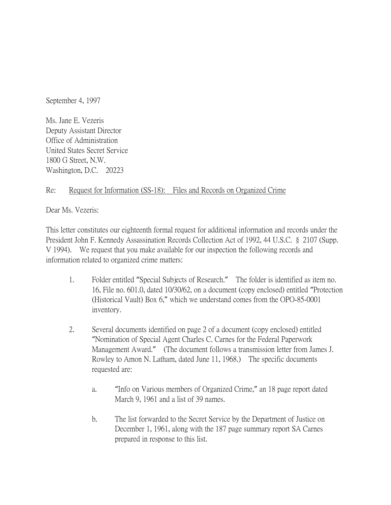September 4, 1997

Ms. Jane E. Vezeris Deputy Assistant Director Office of Administration United States Secret Service 1800 G Street, N.W. Washington, D.C. 20223

## Re: Request for Information (SS-18): Files and Records on Organized Crime

Dear Ms. Vezeris:

This letter constitutes our eighteenth formal request for additional information and records under the President John F. Kennedy Assassination Records Collection Act of 1992, 44 U.S.C. § 2107 (Supp. V 1994). We request that you make available for our inspection the following records and information related to organized crime matters:

- 1. Folder entitled "Special Subjects of Research." The folder is identified as item no. 16, File no. 601.0, dated 10/30/62, on a document (copy enclosed) entitled "Protection (Historical Vault) Box 6," which we understand comes from the OPO-85-0001 inventory.
- 2. Several documents identified on page 2 of a document (copy enclosed) entitled "Nomination of Special Agent Charles C. Carnes for the Federal Paperwork Management Award." (The document follows a transmission letter from James J. Rowley to Amon N. Latham, dated June 11, 1968.) The specific documents requested are:
	- a. "Info on Various members of Organized Crime," an 18 page report dated March 9, 1961 and a list of 39 names.
	- b. The list forwarded to the Secret Service by the Department of Justice on December 1, 1961, along with the 187 page summary report SA Carnes prepared in response to this list.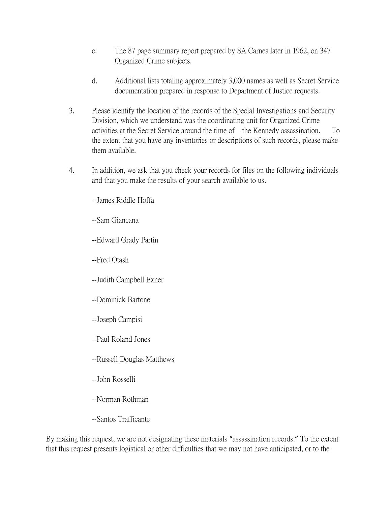- c. The 87 page summary report prepared by SA Carnes later in 1962, on 347 Organized Crime subjects.
- d. Additional lists totaling approximately 3,000 names as well as Secret Service documentation prepared in response to Department of Justice requests.
- 3. Please identify the location of the records of the Special Investigations and Security Division, which we understand was the coordinating unit for Organized Crime activities at the Secret Service around the time of the Kennedy assassination. To the extent that you have any inventories or descriptions of such records, please make them available.
- 4. In addition, we ask that you check your records for files on the following individuals and that you make the results of your search available to us.

--James Riddle Hoffa

--Sam Giancana

--Edward Grady Partin

--Fred Otash

--Judith Campbell Exner

- --Dominick Bartone
- --Joseph Campisi

--Paul Roland Jones

- --Russell Douglas Matthews
- --John Rosselli
- --Norman Rothman
- --Santos Trafficante

By making this request, we are not designating these materials "assassination records." To the extent that this request presents logistical or other difficulties that we may not have anticipated, or to the